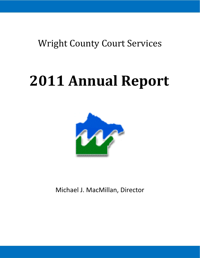Wright County Court Services

# **2011 Annual Report**



Michael J. MacMillan, Director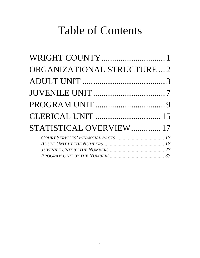# Table of Contents

| WRIGHT COUNTY1              |  |
|-----------------------------|--|
| ORGANIZATIONAL STRUCTURE  2 |  |
|                             |  |
|                             |  |
|                             |  |
|                             |  |
| STATISTICAL OVERVIEW 17     |  |
|                             |  |
|                             |  |
|                             |  |
|                             |  |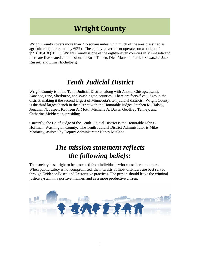# **Wright County**

Wright County covers more than 716 square miles, with much of the area classified as agricultural (approximately 69%). The county government operates on a budget of \$99,818,418 (2011). Wright County is one of the eighty-seven counties in Minnesota and there are five seated commissioners: Rose Thelen, Dick Mattson, Patrick Sawatzke, Jack Russek, and Elmer Eichelberg.

#### *Tenth Judicial District*

Wright County is in the Tenth Judicial District, along with Anoka, Chisago, Isanti, Kanabec, Pine, Sherburne, and Washington counties. There are forty-five judges in the district, making it the second largest of Minnesota's ten judicial districts. Wright County is the third largest bench in the district with the Honorable Judges Stephen M. Halsey, Jonathan N. Jasper, Kathleen A. Mottl, Michelle A. Davis, Geoffrey Tenney, and Catherine McPherson, presiding

Currently, the Chief Judge of the Tenth Judicial District is the Honorable John C. Hoffman, Washington County. The Tenth Judicial District Administrator is Mike Moriarity, assisted by Deputy Administrator Nancy McCabe.

#### *The mission statement reflects the following beliefs:*

That society has a right to be protected from individuals who cause harm to others. When public safety is not compromised, the interests of most offenders are best served through Evidence Based and Restorative practices. The person should leave the criminal justice system in a positive manner, and as a more productive citizen.

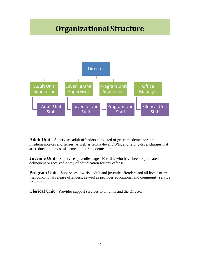# **Organizational Structure**



**Adult Unit** – Supervises adult offenders convicted of gross misdemeanor- and misdemeanor-level offenses, as well as felony-level DWIs, and felony-level charges that are reduced to gross misdemeanors or misdemeanors.

**Juvenile Unit** – Supervises juveniles, ages 10 to 21, who have been adjudicated delinquent or received a stay of adjudication for any offense.

**Program Unit** – Supervises low-risk adult and juvenile offenders and all levels of pretrial conditional release offenders, as well as provides educational and community service programs.

**Clerical Unit** – Provides support services to all units and the Director.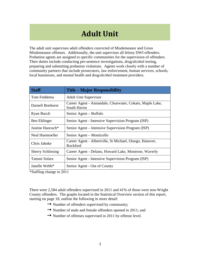# **Adult Unit**

The adult unit supervises adult offenders convicted of Misdemeanor and Gross Misdemeanor offenses. Additionally, the unit supervises all felony DWI offenders. Probation agents are assigned to specific communities for the supervision of offenders. Their duties include conducting pre-sentence investigations, drug/alcohol testing, preparing and submitting probation violations. Agents work closely with a number of community partners that include prosecutors, law enforcement, human services, schools, local businesses, and mental health and drug/alcohol treatment providers.

| <b>Staff</b>             | <b>Title – Major Responsibility</b>                                      |
|--------------------------|--------------------------------------------------------------------------|
| Tom Feddema              | <b>Adult Unit Supervisor</b>                                             |
| Darnell Brethorst        | Career Agent - Annandale, Clearwater, Cokato, Maple Lake,<br>South Haven |
| Ryan Busch               | Senior Agent – Buffalo                                                   |
| Ben Ehlinger             | Senior Agent - Intensive Supervision Program (ISP)                       |
| Justine Hancuch*         | Senior Agent – Intensive Supervision Program (ISP)                       |
| Neal Huemoeller          | Senior Agent – Monticello                                                |
| Chris Jahnke             | Career Agent - Albertville, St Michael, Otsego, Hanover,<br>Rockford     |
| <b>Sherry Schliesing</b> | Career Agent - Delano, Howard Lake, Montrose, Waverly                    |
| Tammi Solarz             | Senior Agent - Intensive Supervision Program (ISP)                       |
| Janelle Webb*            | Senior Agent - Out of County                                             |

\*Staffing change in 2011

There were 2,584 adult offenders supervised in 2011 and 41% of those were non-Wright County offenders. The graphs located in the Statistical Overview section of this report, starting on page 18, outline the following in more detail:

- $\rightarrow$  Number of offenders supervised by community;
- Number of male and female offenders opened in 2011; and
- $\rightarrow$  Number of offenses supervised in 2011 by offense level.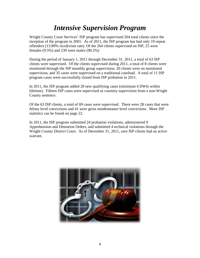#### *Intensive Supervision Program*

Wright County Court Services' ISP program has supervised 264 total clients since the inception of the program in 2001. As of 2011, the ISP program has had only 19 repeat offenders (13.89% recidivism rate). Of the 264 clients supervised on ISP, 25 were females (9.5%) and 239 were males (90.5%)

During the period of January 1, 2011 through December 31, 2011, a total of 63 ISP clients were supervised. Of the clients supervised during 2011, a total of 8 clients were monitored through the ISP monthly group supervision, 20 clients were on monitored supervision, and 35 cases were supervised on a traditional caseload. A total of 11 ISP program cases were successfully closed from ISP probation in 2011.

In 2011, the ISP program added 28 new qualifying cases (minimum 4 DWIs within lifetime). Fifteen ISP cases were supervised as courtesy supervision from a non-Wright County sentence.

Of the 63 ISP clients, a total of 69 cases were supervised. There were 28 cases that were felony level convictions and 41 were gross misdemeanor level convictions. More ISP statistics can be found on page 22.

In 2011, the ISP program submitted 24 probation violations, administered 9 Apprehension and Detention Orders, and submitted 4 technical violations through the Wright County District Court. As of December 31, 2011, zero ISP clients had an active warrant.

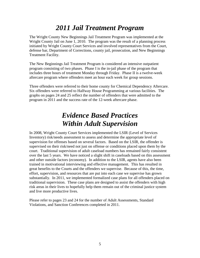#### *2011 Jail Treatment Program*

The Wright County New Beginnings Jail Treatment Program was implemented at the Wright County Jail on June 1, 2010. The program was the result of a planning process initiated by Wright County Court Services and involved representatives from the Court, defense bar, Department of Corrections, county jail, prosecution, and New Beginnings Treatment Facility.

The New Beginnings Jail Treatment Program is considered an intensive outpatient program consisting of two phases. Phase I is the in-jail phase of the program that includes three hours of treatment Monday through Friday. Phase II is a twelve-week aftercare program where offenders meet an hour each week for group sessions.

Three offenders were referred to their home county for Chemical Dependency Aftercare. Six offenders were referred to Halfway House Programming at various facilities. The graphs on pages 24 and 25 reflect the number of offenders that were admitted to the program in 2011 and the success rate of the 12-week aftercare phase.

#### *Evidence Based Practices Within Adult Supervision*

In 2008, Wright County Court Services implemented the LSIR (Level of Services Inventory) risk/needs assessment to assess and determine the appropriate level of supervision for offenses based on several factors. Based on the LSIR, the offender is supervised on their risk/need not just on offense or conditions placed upon them by the court. Traditional supervision of adult caseload numbers has remained fairly consistent over the last 5 years. We have noticed a slight shift in caseloads based on this assessment and other outside factors (economy). In addition to the LSIR, agents have also been trained in motivational interviewing and effective management. This has resulted in great benefits to the Courts and the offenders we supervise. Because of this, the time, effort, supervision, and resources that are put into each case we supervise has grown substantially. In 2011, we implemented formalized case plans for all offenders placed on traditional supervision. These case plans are designed to assist the offenders with high risk areas in their lives to hopefully help them remain out of the criminal justice system and live more productive lives.

Please refer to pages 23 and 24 for the number of Adult Assessments, Standard Violations, and Sanction Conferences completed in 2011.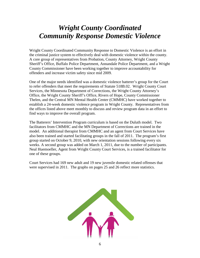#### *Wright County Coordinated Community Response Domestic Violence*

Wright County Coordinated Community Response to Domestic Violence is an effort in the criminal justice system to effectively deal with domestic violence within the county. A core group of representatives from Probation, County Attorney, Wright County Sheriff's Office, Buffalo Police Department, Annandale Police Department, and a Wright County Commissioner have been working together to improve accountability for offenders and increase victim safety since mid 2009.

One of the major needs identified was a domestic violence batterer's group for the Court to refer offenders that meet the requirements of Statute 518B.02. Wright County Court Services, the Minnesota Department of Corrections, the Wright County Attorney's Office, the Wright County Sheriff's Office, Rivers of Hope, County Commissioner Thelen, and the Central MN Mental Health Center (CMMHC) have worked together to establish a 24-week domestic violence program in Wright County. Representatives from the offices listed above meet monthly to discuss and review program data in an effort to find ways to improve the overall program.

The Batterers' Intervention Program curriculum is based on the Duluth model. Two facilitators from CMMHC and the MN Department of Corrections are trained in the model. An additional therapist from CMMHC and an agent from Court Services have also been trained and started facilitating groups in the fall of 2011. The program's first group started on October 9, 2010, with new orientation sessions following every six weeks. A second group was added on March 1, 2011, due to the number of participants. Neal Huemoeller, Agent from Wright County Court Services, is a trained facilitator for one of these groups.

Court Services had 169 new adult and 19 new juvenile domestic related offenses that were supervised in 2011. The graphs on pages 25 and 26 reflect more statistics.

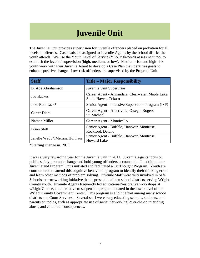# **Juvenile Unit**

The Juvenile Unit provides supervision for juvenile offenders placed on probation for all levels of offenses. Caseloads are assigned to Juvenile Agents by the school district the youth attends. We use the Youth Level of Service (YLS) risk/needs assessment tool to establish the level of supervision (high, medium, or low). Medium-risk and high-risk youth work with their Juvenile Agent to develop a Case Plan that identifies goals to enhance positive change. Low-risk offenders are supervised by the Program Unit.

| <b>Staff</b>                   | <b>Title – Major Responsibility</b>                                      |
|--------------------------------|--------------------------------------------------------------------------|
| <b>B.</b> Abe Abrahamson       | Juvenile Unit Supervisor                                                 |
| <b>Joe Backes</b>              | Career Agent - Annandale, Clearwater, Maple Lake,<br>South Haven, Cokato |
| Jake Bohnsack*                 | Senior Agent - Intensive Supervision Program (ISP)                       |
| <b>Carter Diers</b>            | Career Agent - Albertville, Otsego, Rogers,<br>St. Michael               |
| Nathan Miller                  | Career Agent - Monticello                                                |
| <b>Brian Stoll</b>             | Senior Agent - Buffalo, Hanover, Montrose,<br>Rockford, Delano           |
| Janelle Webb*/Melissa Holthaus | Senior Agent - Buffalo, Hanover, Montrose,<br><b>Howard Lake</b>         |

\*Staffing change in 2011

It was a very rewarding year for the Juvenile Unit in 2011. Juvenile Agents focus on public safety, promote change and hold young offenders accountable. In addition, our Juvenile and Program Units initiated and facilitated a TruThought Program. Youth are court ordered to attend this cognitive behavioral program to identify their thinking errors and learn other methods of problem solving. Juvenile Staff were very involved in Safe Schools, our networking initiative that is present in all ten school districts serving Wright County youth. Juvenile Agents frequently led educational/restorative workshops at wRight Choice, an alternative to suspension program located in the lower level of the Wright County Government Center. This program is a joint effort among many school districts and Court Services. Several staff were busy educating schools, students, and parents on topics, such as appropriate use of social networking, over-the-counter drug abuse, and collateral consequences.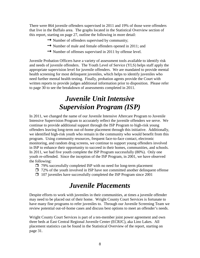There were 864 juvenile offenders supervised in 2011 and 19% of those were offenders that live in the Buffalo area. The graphs located in the Statistical Overview section of this report, starting on page 27, outline the following in more detail:

- → Number of offenders supervised by community;
- Number of male and female offenders opened in 2011; and
- $\rightarrow$  Number of offenses supervised in 2011 by offense level.

Juvenile Probation Officers have a variety of assessment tools available to identify risk and needs of juvenile offenders. The Youth Level of Service (YLS) helps staff apply the appropriate supervision level for juvenile offenders. We are mandated to provide mental health screening for most delinquent juveniles, which helps to identify juveniles who need further mental health testing. Finally, probation agents provide the Court with written reports to provide judges additional information prior to disposition. Please refer to page 30 to see the breakdown of assessments completed in 2011.

#### *Juvenile Unit Intensive Supervision Program (ISP)*

In 2011, we changed the name of our Juvenile Intensive Aftercare Program to Juvenile Intensive Supervision Program to accurately reflect the juvenile offenders we serve. We continue to provide additional support through the ISP Program to high-risk young offenders leaving long-term out-of-home placement through this initiative. Additionally, we identified high-risk youth who remain in the community who would benefit from this program. Using community resources, frequent face-to-face contact, electronic monitoring, and random drug screens, we continue to support young offenders involved in ISP to enhance their opportunity to succeed in their homes, communities, and schools. In 2011, we had five youth complete the ISP Program successfully (80%). Only one youth re-offended. Since the inception of the ISP Program, in 2001, we have observed the following:

- $\Box$  79% successfully completed ISP with no need for long-term placement
- $\Box$  72% of the youth involved in ISP have not committed another delinquent offense
- $\Box$  107 juveniles have successfully completed the ISP Program since 2001

#### *Juvenile Placements*

Despite efforts to work with juveniles in their communities, at times a juvenile offender may need to be placed out of their home. Wright County Court Services is fortunate to have many fine programs to refer juveniles to. Through our Juvenile Screening Team we review potential out-of-home cases and discuss best options to meet an offender's needs.

Wright County Court Services is part of a ten-member joint power agreement and own three beds at East Central Regional Juvenile Center (ECRJC), aka Lino Lakes. All placement statistics can be found in the Statistical Overview of the report, starting on page 31.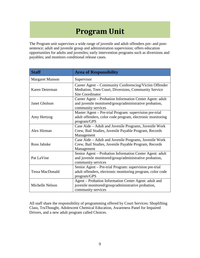# **Program Unit**

The Program unit supervises a wide range of juvenile and adult offenders pre- and postsentence; adult and juvenile group and administration supervision; offers education opportunities for adults and juveniles; early intervention programs such as diversions and payables; and monitors conditional release cases.

| <b>Staff</b>           | <b>Area of Responsibility</b>                                                                                                            |  |
|------------------------|------------------------------------------------------------------------------------------------------------------------------------------|--|
| <b>Margaret Munson</b> | Supervisor                                                                                                                               |  |
| Karen Determan         | Career Agent – Community Conferencing/Victim Offender<br>Mediation, Teen Court, Diversions, Community Service<br><b>Site Coordinator</b> |  |
| <b>Janet Gholson</b>   | Career Agent - Probation Information Center Agent: adult<br>and juvenile monitored/group/administrative probation,<br>community services |  |
| Amy Hertzog            | Master Agent – Pre-trial Program: supervision pre-trial<br>adult offenders, color code program, electronic monitoring<br>program/GPS     |  |
| Alex Hirman            | Case Aide – Adult and Juvenile Programs, Juvenile Work<br>Crew, Bail Studies, Juvenile Payable Program, Records<br>Management            |  |
| Ross Jahnke            | Case Aide – Adult and Juvenile Programs, Juvenile Work<br>Crew, Bail Studies, Juvenile Payable Program, Records<br>Management            |  |
| Pat LaVine             | Senior Agent – Probation Information Center Agent: adult<br>and juvenile monitored/group/administrative probation,<br>community services |  |
| <b>Tessa MacDonald</b> | Senior Agent - Pre-trial Program: supervision pre-trial<br>adult offenders, electronic monitoring program, color code<br>program/GPS     |  |
| Michelle Nelson        | Agent – Probation Information Center Agent: adult and<br>juvenile monitored/group/administrative probation,<br>community services        |  |

All staff share the responsibility of programming offered by Court Services: Shoplifting Class, TruThought, Adolescent Chemical Education, Awareness Panel for Impaired Drivers, and a new adult program called Choices.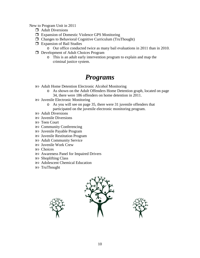New to Program Unit in 2011

- $\Box$  Adult Diversions
- Expansion of Domestic Violence GPS Monitoring
- Changes to Behavioral Cognitive Curriculum (TruThought)
- **Expansion of Bail Studies** 
	- o Our office conducted twice as many bail evaluations in 2011 than in 2010.
- D Development of Adult Choices Program
	- o This is an adult early intervention program to explain and map the criminal justice system.

#### *Programs*

- Adult Home Detention Electronic Alcohol Monitoring
	- o As shown on the Adult Offenders Home Detention graph, located on page 34, there were 186 offenders on home detention in 2011.
- Juvenile Electronic Monitoring
	- o As you will see on page 35, there were 31 juvenile offenders that participated on the juvenile electronic monitoring program.
- Adult Diversions
- Juvenile Diversions
- Teen Court
- Community Conferencing
- Juvenile Payable Program
- Juvenile Restitution Program
- Adult Community Service
- Juvenile Work Crew
- Choices
- Awareness Panel for Impaired Drivers
- Shoplifting Class
- Adolescent Chemical Education
- TruThought



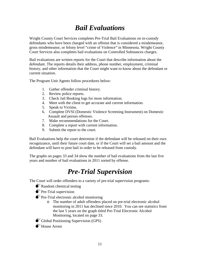### *Bail Evaluations*

Wright County Court Services completes Pre-Trial Bail Evaluations on in-custody defendants who have been charged with an offense that is considered a misdemeanor, gross misdemeanor, or felony level "crime of Violence" in Minnesota. Wright County Court Services also completes bail evaluations on Controlled Substances charges.

Bail evaluations are written reports for the Court that describe information about the defendant. The reports details their address, phone number, employment, criminal history, and other information that the Court might want to know about the defendant or current situation.

The Program Unit Agents follow procedures below:

- 1. Gather offender criminal history.
- 2. Review police reports.
- 3. Check Jail Booking logs for more information.
- 4. Meet with the client to get accurate and current information.
- 5. Speak to Victims.
- 6. Complete DVSI (Domestic Violence Screening Instrument) on Domestic Assault and person offenses.
- 7. Make recommendations for the Court.
- 8. Complete a report with current information.
- 9. Submit the report to the court.

Bail Evaluations help the court determine if the defendant will be released on their own recognizance, until their future court date, or if the Court will set a bail amount and the defendant will have to post bail in order to be released from custody.

The graphs on pages 33 and 34 show the number of bail evaluations from the last five years and number of bail evaluations in 2011 sorted by offense.

#### *Pre-Trial Supervision*

The Court will order offenders to a variety of pre-trial supervision programs:

 $\bullet^*$ Random chemical testing

 $\bullet^*$ Pre-Trial supervision

- $\bullet$ <sup>\*</sup>Pre-Trial electronic alcohol monitoring
	- o The number of adult offenders placed on pre-trial electronic alcohol monitoring in 2011 has declined since 2010. You can see statistics from the last 5 years on the graph titled Pre-Trial Electronic Alcohol Monitoring, located on page 33.

 $\bigodot^{\mathbb{K}}$  Global Positioning Supervision (GPS)

 $\bigtriangleup^{\mathbb{K}}$ House Arrest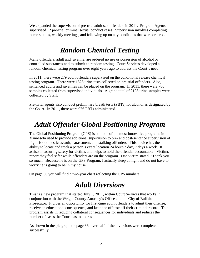We expanded the supervision of pre-trial adult sex offenders in 2011. Program Agents supervised 12 pre-trial criminal sexual conduct cases. Supervision involves completing home studies, weekly meetings, and following up on any conditions that were ordered.

#### *Random Chemical Testing*

Many offenders, adult and juvenile, are ordered no use or possession of alcohol or controlled substances and to submit to random testing. Court Services developed a random chemical testing program over eight years ago to address the Court's need.

In 2011, there were 279 adult offenders supervised on the conditional release chemical testing program. There were 1328 urine tests collected on pre-trial offenders. Also, sentenced adults and juveniles can be placed on the program. In 2011, there were 780 samples collected from supervised individuals. A grand total of 2108 urine samples were collected by Staff.

Pre-Trial agents also conduct preliminary breath tests (PBTs) for alcohol as designated by the Court. In 2011, there were 976 PBTs administered.

### *Adult Offender Global Positioning Program*

The Global Positioning Program (GPS) is still one of the most innovative programs in Minnesota used to provide additional supervision to pre- and post-sentence supervision of high-risk domestic assault, harassment, and stalking offenders. This device has the ability to locate and track a person's exact location 24 hours a day, 7 days a week. It assists in assuring safety for victims and helps to hold the offender accountable. Victims report they feel safer while offenders are on the program. One victim stated, "Thank you so much. Because he is on the GPS Program, I actually sleep at night and do not have to worry he is going to be in my house."

On page 36 you will find a two-year chart reflecting the GPS numbers.

#### *Adult Diversions*

This is a new program that started July 1, 2011, within Court Services that works in conjunction with the Wright County Attorney's Office and the City of Buffalo Prosecutor. It gives an opportunity for first-time adult offenders to admit their offense, receive an educational consequence, and keep the offense off their criminal record. This program assists in reducing collateral consequences for individuals and reduces the number of cases the Court has to address.

As shown in the pie graph on page 36, over half of the diversions were completed successfully.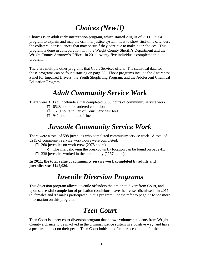### *Choices (New!!)*

Choices is an adult early intervention program, which started August of 2011. It is a program to explain and map the criminal justice system. It is to show first-time offenders the collateral consequences that may occur if they continue to make poor choices. This program is done in collaboration with the Wright County Sheriff's Department and the Wright County Attorney's Office. In 2011, twenty-five individuals completed this program.

There are multiple other programs that Court Services offers. The statistical data for those programs can be found starting on page 39. Those programs include the Awareness Panel for Impaired Drivers, the Youth Shoplifting Program, and the Adolescent Chemical Education Program.

#### *Adult Community Service Work*

There were 313 adult offenders that completed 8988 hours of community service work.

- $\Box$  6528 hours for ordered condition
- $\Box$  1519 hours in lieu of Court Services' fees
- $\Box$  941 hours in lieu of fine

#### *Juvenile Community Service Work*

There were a total of 598 juveniles who completed community service work. A total of 5215 of community service work hours were completed.

- $\Box$  260 juveniles on work crew (2978 hours)
	- o The chart showing the breakdown by location can be found on page 41.
- $\Box$  338 juveniles worked in the community (2237 hours)

**In 2011, the total value of community service work completed by adults and juveniles was \$142,030.**

#### *Juvenile Diversion Programs*

This diversion program allows juvenile offenders the option to divert from Court, and upon successful completion of probation conditions, have their cases dismissed. In 2011, 69 females and 97 males participated in this program. Please refer to page 37 to see more information on this program.

#### *Teen Court*

Teen Court is a peer court diversion program that allows volunteer students from Wright County a chance to be involved in the criminal justice system in a positive way, and have a positive impact on their peers. Teen Court holds the offender accountable for their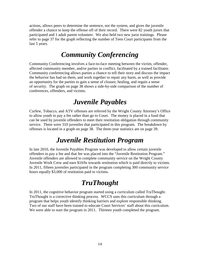actions, allows peers to determine the sentence, not the system, and gives the juvenile offender a chance to keep the offense off of their record. There were 82 youth jurors that participated and 1 adult parent volunteer. We also held two new juror trainings. Please refer to page 37 for the graph reflecting the number of Teen Court participants from the last 5 years.

#### *Community Conferencing*

Community Conferencing involves a face-to-face meeting between the victim, offender, affected community member, and/or parties in conflict, facilitated by a trained facilitator. Community conferencing allows parties a chance to tell their story and discuss the impact the behavior has had on them, and work together to repair any harm, as well as provide an opportunity for the parties to gain a sense of closure, healing, and regain a sense of security. The graph on page 38 shows a side-by-side comparison of the number of conferences, offenders, and victims.

#### *Juvenile Payables*

Curfew, Tobacco, and ATV offenses are referred by the Wright County Attorney's Office to allow youth to pay a fee rather than go to Court. The money is placed in a fund that can be used by juvenile offenders to meet their restitution obligation through community service. There were 310 juveniles that participated in this program. The breakdown by offenses is located in a graph on page 38. The three-year statistics are on page 39.

#### *Juvenile Restitution Program*

In late 2010, the Juvenile Payables Program was developed to allow certain juvenile offenders to pay a fee and that fee was placed into the "Juvenile Restitution Program." Juvenile offenders are allowed to complete community service on the Wright County Juvenile Work Crew and earn \$10/hr towards restitution which is paid directly to victims. In 2011, fifteen juveniles participated in the program completing 300 community service hours equally \$3,000 of restitution paid to victims.

#### *TruThought*

In 2011, the cognitive behavior program started using a curriculum called TruThought. TruThought is a corrective thinking process. WCCS uses this curriculum through a program that helps youth identify thinking barriers and explore responsible thinking. Two of our staff have been trained to educate Court Services' staff about this curriculum. We were able to start the program in 2011. Thirteen youth completed the program.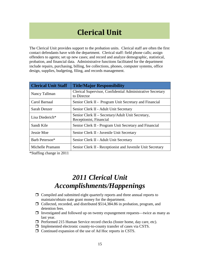# **Clerical Unit**

The Clerical Unit provides support to the probation units. Clerical staff are often the first contact defendants have with the department. Clerical staff: field phone calls; assign offenders to agents; set up new cases; and record and analyze demographic, statistical, probation, and financial data. Administrative functions facilitated for the department include repairs, purchasing, billing, fee collections, phones, computer systems, office design, supplies, budgeting, filing, and records management.

| <b>Clerical Unit Staff</b>                                                                                                                                                                                                                                                                                         | <b>Title/Major Responsibility</b>                                            |
|--------------------------------------------------------------------------------------------------------------------------------------------------------------------------------------------------------------------------------------------------------------------------------------------------------------------|------------------------------------------------------------------------------|
| Nancy Tallman                                                                                                                                                                                                                                                                                                      | Clerical Supervisor, Confidential Administrative Secretary<br>to Director    |
| Carol Barnaal                                                                                                                                                                                                                                                                                                      | Senior Clerk II - Program Unit Secretary and Financial                       |
| Sarah Denzer                                                                                                                                                                                                                                                                                                       | Senior Clerk II - Adult Unit Secretary                                       |
| Lisa Diederich*                                                                                                                                                                                                                                                                                                    | Senior Clerk II – Secretary/Adult Unit Secretary,<br>Receptionist, Financial |
| Sandi Kile                                                                                                                                                                                                                                                                                                         | Senior Clerk II - Program Unit Secretary and Financial                       |
| Jessie Moe                                                                                                                                                                                                                                                                                                         | Senior Clerk II - Juvenile Unit Secretary                                    |
| Barb Peterson*                                                                                                                                                                                                                                                                                                     | Senior Clerk II - Adult Unit Secretary                                       |
| Michelle Pramann                                                                                                                                                                                                                                                                                                   | Senior Clerk II - Receptionist and Juvenile Unit Secretary                   |
| $\sqrt{2}$ $\sqrt{2}$ $\sqrt{2}$ $\sqrt{2}$ $\sqrt{2}$ $\sqrt{2}$ $\sqrt{2}$ $\sqrt{2}$ $\sqrt{2}$ $\sqrt{2}$ $\sqrt{2}$ $\sqrt{2}$ $\sqrt{2}$ $\sqrt{2}$ $\sqrt{2}$ $\sqrt{2}$ $\sqrt{2}$ $\sqrt{2}$ $\sqrt{2}$ $\sqrt{2}$ $\sqrt{2}$ $\sqrt{2}$ $\sqrt{2}$ $\sqrt{2}$ $\sqrt{2}$ $\sqrt{2}$ $\sqrt{2}$ $\sqrt{2$ |                                                                              |

\*Staffing change in 2011

#### *2011 Clerical Unit Accomplishments/Happenings*

- $\Box$  Compiled and submitted eight quarterly reports and three annual reports to maintain/obtain state grant money for the department.
- Collected, recorded, and distributed \$514,384.86 in probation, program, and detention fees.
- $\Box$  Investigated and followed up on twenty expungement requests—twice as many as last year.
- Performed 215 Human Service record checks (foster home, day care, etc).
- $\Box$  Implemented electronic county-to-county transfer of cases via CSTS.
- $\Box$  Continued expansion of the use of Ad Hoc reports in CSTS.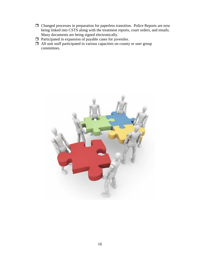- Changed processes in preparation for paperless transition. Police Reports are now being linked into CSTS along with the treatment reports, court orders, and emails. Many documents are being signed electronically.
- $\Box$  Participated in expansion of payable cases for juveniles.
- $\Box$  All unit staff participated in various capacities on county or user group committees.

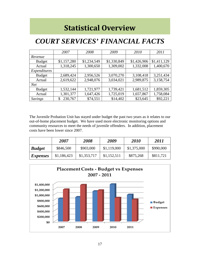## **Statistical Overview**

#### <span id="page-18-0"></span>*COURT SERVICES' FINANCIAL FACTS*

|                | 2007          | 2008        | 2009        | 2010        | 2011        |
|----------------|---------------|-------------|-------------|-------------|-------------|
| Revenue        |               |             |             |             |             |
| <b>Budget</b>  | \$1,157,280   | \$1,234,549 | \$1,330,849 | \$1,426,906 | \$1,411,129 |
| Actual         | 1,318,245     | 1,300,650   | 1,309,002   | 1,332,008   | 1,400,670   |
| Expenditures   |               |             |             |             |             |
| <b>Budget</b>  | 2,689,424     | 2,956,526   | 3,070,270   | 3,108,418   | 3,251,434   |
| Actual         | 2,619,622     | 2,948,076   | 3,034,021   | 2,989,875   | 3,158,754   |
| <b>Net</b>     |               |             |             |             |             |
| <b>Budget</b>  | 1,532,144     | 1,721,977   | 1,739,421   | 1,681,512   | 1,859,305   |
| Actual         | 1,301,377     | 1,647,426   | 1,725,019   | 1,657,867   | 1,758,084   |
| <b>Savings</b> | 230,767<br>\$ | \$74,551    | \$14,402    | \$23,645    | \$92,221    |

The Juvenile Probation Unit has stayed under budget the past two years as it relates to our out-of-home placement budget. We have used more electronic monitoring options and community resources to meet the needs of juvenile offenders. In addition, placement costs have been lower since 2007.

|                 | 2007        | 2008        | 2009        | <b>2010</b> | 2011      |
|-----------------|-------------|-------------|-------------|-------------|-----------|
| <b>Budget</b>   | \$846,500   | \$903,000   | \$1,119,000 | \$1,375,000 | \$990,000 |
| <i>Expenses</i> | \$1,186,423 | \$1,353,717 | \$1,152,511 | \$875,268   | \$811,721 |

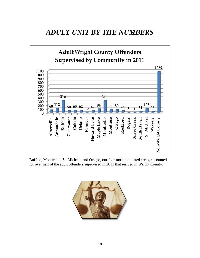#### <span id="page-19-0"></span>*ADULT UNIT BY THE NUMBERS*



Buffalo, Monticello, St. Michael, and Otsego, our four most populated areas, accounted for over half of the adult offenders supervised in 2011 that resided in Wright County.

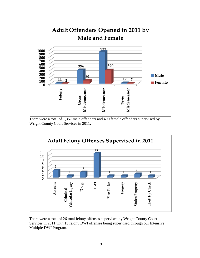

There were a total of 1,357 male offenders and 490 female offenders supervised by Wright County Court Services in 2011.



There were a total of 26 total felony offenses supervised by Wright County Court Services in 2011 with 13 felony DWI offenses being supervised through our Intensive Multiple DWI Program.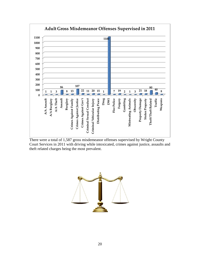

There were a total of 1,587 gross misdemeanor offenses supervised by Wright County Court Services in 2011 with driving while intoxicated, crimes against justice, assaults and theft related charges being the most prevalent.

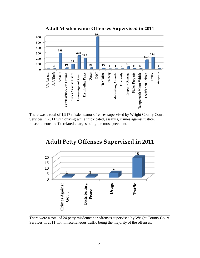

There was a total of 1,917 misdemeanor offenses supervised by Wright County Court Services in 2011 with driving while intoxicated, assaults, crimes against justice, miscellaneous traffic related charges being the most prevalent.



There were a total of 24 petty misdemeanor offenses supervised by Wright County Court Services in 2011 with miscellaneous traffic being the majority of the offenses.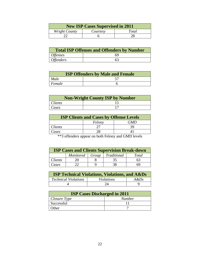| <b>New ISP Cases Supervised in 2011</b> |          |       |  |
|-----------------------------------------|----------|-------|--|
| Wright County                           | Courtesy | Total |  |
|                                         |          |       |  |

| <b>Total ISP Offenses and Offenders by Number</b> |    |  |
|---------------------------------------------------|----|--|
| <i>Offenses</i>                                   | 69 |  |
| <i>Offenders</i>                                  | 63 |  |

| <b>ISP Offenders by Male and Female</b> |  |  |
|-----------------------------------------|--|--|
| <i>Male</i>                             |  |  |
| Female                                  |  |  |

| <b>Non-Wright County ISP by Number</b> |  |  |
|----------------------------------------|--|--|
| <i>Clients</i>                         |  |  |
| Cases                                  |  |  |

| <b>ISP Clients and Cases by Offense Levels</b> |        |     |  |
|------------------------------------------------|--------|-----|--|
|                                                | Felony | GMD |  |
| Clients                                        |        | 39  |  |
| Cases                                          |        |     |  |
| __                                             |        |     |  |

\*\*3 offenders appear on both Felony and GMD levels

| <b>ISP Cases and Clients Supervision Break-down</b> |  |  |                                 |       |  |  |  |  |
|-----------------------------------------------------|--|--|---------------------------------|-------|--|--|--|--|
|                                                     |  |  | Monitored   Group   Traditional | Total |  |  |  |  |
| <i>Clients</i>                                      |  |  | 35                              | 63    |  |  |  |  |
| Cases                                               |  |  | 38                              | ĥЧ    |  |  |  |  |

| <b>ISP Technical Violations, Violations, and A&amp;Ds</b> |                   |         |  |  |  |  |
|-----------------------------------------------------------|-------------------|---------|--|--|--|--|
| <b>Technical Violations</b>                               | <i>Violations</i> | $A\&Ds$ |  |  |  |  |
|                                                           | 24                |         |  |  |  |  |

| <b>ISP Cases Discharged in 2011</b> |               |  |  |  |  |
|-------------------------------------|---------------|--|--|--|--|
| $\vert$ Closure Type                | <b>Number</b> |  |  |  |  |
| Successful                          |               |  |  |  |  |
| Other                               |               |  |  |  |  |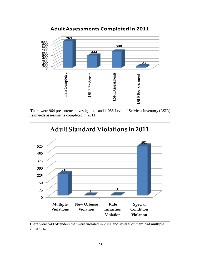





There were 549 offenders that were violated in 2011 and several of them had multiple violations.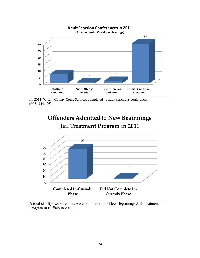

In, 2011, Wright County Court Services completed 40 adult sanctions conferences. (M.S. 244.196)



A total of fifty-two offenders were admitted to the New Beginnings Jail Treatment Program in Buffalo in 2011.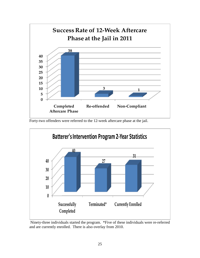

Forty-two offenders were referred to the 12-week aftercare phase at the jail.



Ninety-three individuals started the program. \*Five of these individuals were re-referred and are currently enrolled. There is also overlay from 2010.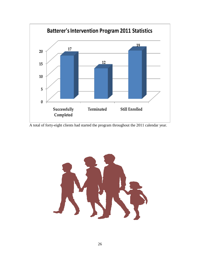

A total of forty-eight clients had started the program throughout the 2011 calendar year.

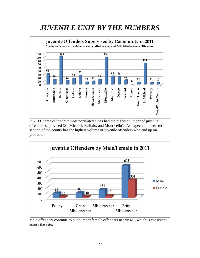#### <span id="page-28-0"></span>*JUVENILE UNIT BY THE NUMBERS*



In 2011, three of the four most populated cities had the highest number of juvenile offenders supervised (St. Michael, Buffalo, and Monticello). As expected, the eastern section of the county has the highest volume of juvenile offenders who end up on probation.



Male offenders continue to out number female offenders nearly 4:1, which is consistent across the sate.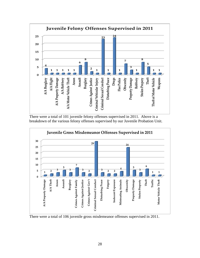

There were a total of 101 juvenile felony offenses supervised in 2011. Above is a breakdown of the various felony offenses supervised by our Juvenile Probation Unit.



There were a total of 106 juvenile gross misdemeanor offenses supervised in 2011.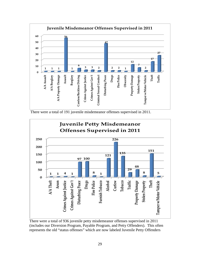

There were a total of 191 juvenile misdemeanor offenses supervised in 2011.



There were a total of 936 juvenile petty misdemeanor offenses supervised in 2011 (includes our Diversion Program, Payable Program, and Petty Offenders). This often represents the old "status offenses" which are now labeled Juvenile Petty Offenders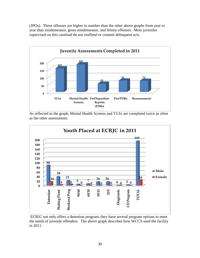(JPOs). These offenses are higher in number than the other above graphs from year to year than misdemeanor, gross misdemeanor, and felony offenses. Most juveniles supervised on this caseload do not reoffend or commit delinquent acts.



As reflected in the graph, Mental Health Screens and YLSs are completed twice as often as the other assessments.



ECRJC not only offers a detention program, they have several program options to meet the needs of juvenile offenders. The above graph describes how WCCS used the facility in 2011.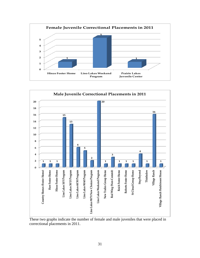



These two graphs indicate the number of female and male juveniles that were placed in correctional placements in 2011.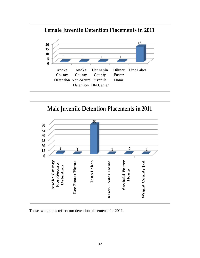



These two graphs reflect our detention placements for 2011.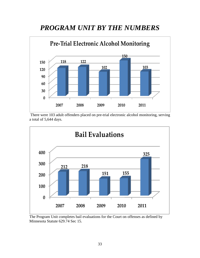#### <span id="page-34-0"></span>*PROGRAM UNIT BY THE NUMBERS*



There were 103 adult offenders placed on pre-trial electronic alcohol monitoring, serving a total of 5,644 days.



The Program Unit completes bail evaluations for the Court on offenses as defined by Minnesota Statute 629.74 Sec 15.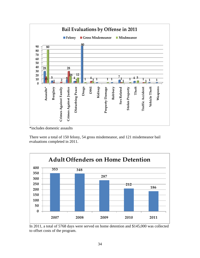

\*includes domestic assaults

There were a total of 150 felony, 54 gross misdemeanor, and 121 misdemeanor bail evaluations completed in 2011.



In 2011, a total of 5768 days were served on home detention and \$145,000 was collected to offset costs of the program.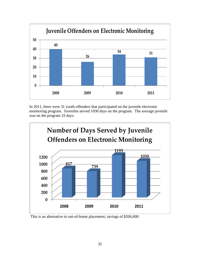

In 2011, there were 31 youth offenders that participated on the juvenile electronic monitoring program. Juveniles served 1030 days on the program. The average juvenile was on the program 33 days.



This is an alternative to out-of-home placement; savings of \$206,000.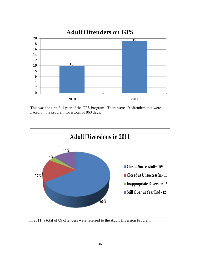

This was the first full year of the GPS Program. There were 19 offenders that were placed on the program for a total of 860 days.



In 2011, a total of 89 offenders were referred to the Adult Diversion Program.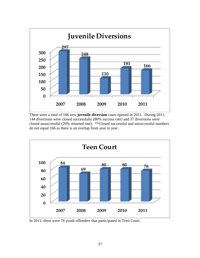

There were a total of 166 new **juvenile diversion** cases opened in 2011. During 2011, 144 diversions were closed successfully (80% success rate) and 37 diversions were closed unsuccessful (20% returned rate). \*\*Closed successful and unsuccessful numbers do not equal 166 as there is an overlap from year to year.



In 2011, there were 76 youth offenders that participated in Teen Court.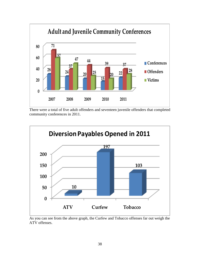

There were a total of five adult offenders and seventeen juvenile offenders that completed community conferences in 2011.



As you can see from the above graph, the Curfew and Tobacco offenses far out weigh the ATV offenses.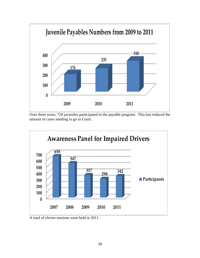

Over three years, 720 juveniles participated in the payable program. This has reduced the amount of cases needing to go to Court.



A total of eleven sessions were held in 2011.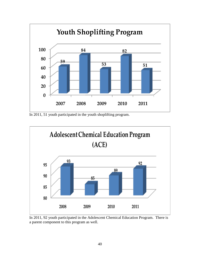

In 2011, 51 youth participated in the youth shoplifting program.



In 2011, 92 youth participated in the Adolescent Chemical Education Program. There is a parent component to this program as well.